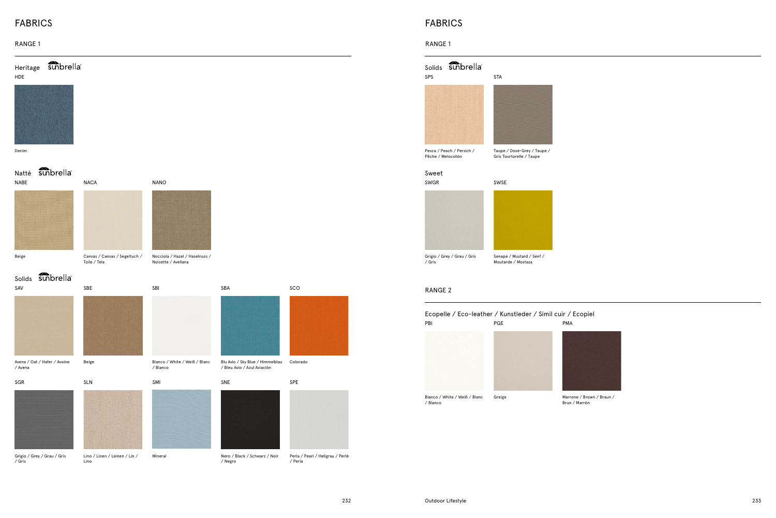Marrone / Brown / Braun /

#### sunbrella Natté

# FABRICS

## Solids sunbrella SAV

#### RANGE 1







NACA



SMI

NANO

SBI

#### SNE

SBA

SPE

SCO

Avena / Oat / Hafer / Avoine / Avena

Canvas / Canvas / Segeltuch / Toile / Tela









Beige

Bianco / White / Weiß / Blanc

/ Blanco



Lino Grigio / Grey / Grau / Gris / Gris

/ Negro

Blu Avio / Sky Blue / Himmelblau Colorado / Bleu Avio / Azul Aviación

> Perla / Pearl / Hellgrau / Perlé / Perla

Denim

# FABRICS



Bianco / White / Weiß / Blanc / Blanco





Brun / Marrón

#### RANGE 2

RANGE 1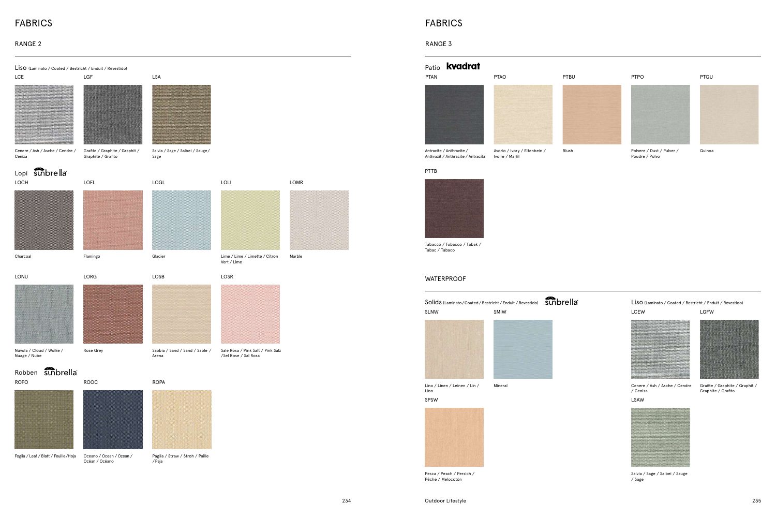LOMR

Foglia / Leaf / Blatt / Feuille /Hoja Océan / Océano Paglia / Straw / Stroh / Paille

/Paja





Lime / Lime / Limette / Citron Marble



Sale Rosa / Pink Salt / Pink Salz /Sel Rose / Sal Rosa



# FABRICS

#### RANGE 2



Tabacco / Tobacco / Tabak / Tabac / Tabaco







Blush Polvere / Dust / Pulver / Poudre / Polvo



Quinoa



RANGE 3

#### WATERPROOF

LSAW

LCEW LGFW Liso (Laminato / Coated / Bestricht / Enduit / Revestido)



Cenere / Ash / Asche / Cendre / Ceniza



Grafite / Graphite / Graphit / Graphite / Grafito



Salvia / Sage / Salbei / Sauge / Sage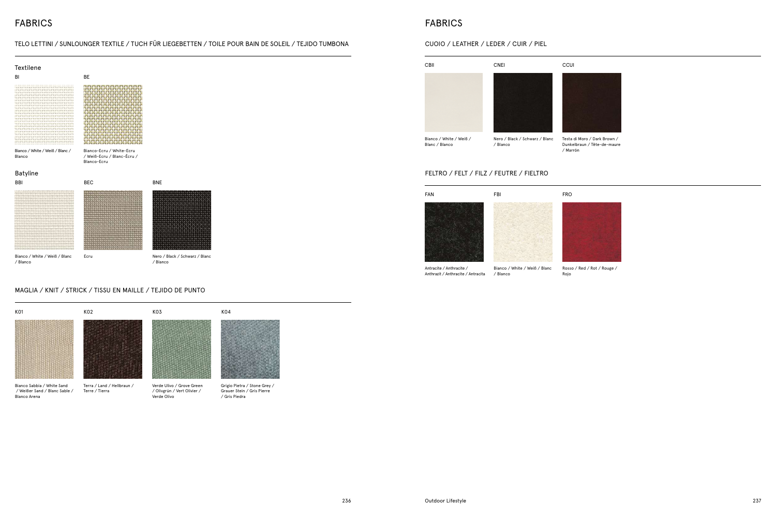# FABRICS

#### TELO LETTINI / SUNLOUNGER TEXTILE / TUCH FÜR LIEGEBETTEN / TOILE POUR BAIN DE SOLEIL / TEJIDO TUMBONA



#### FELTRO / FELT / FILZ / FEUTRE / FIELTRO



Antracite / Anthracite / Anthrazit / Anthracite / Antracita

Bianco / White / Weiß / Blanc / Blanco





Rosso / Red / Rot / Rouge /

Rojo

#### CUOIO / LEATHER / LEDER / CUIR / PIEL

## FABRICS



#### MAGLIA / KNIT / STRICK / TISSU EN MAILLE / TEJIDO DE PUNTO